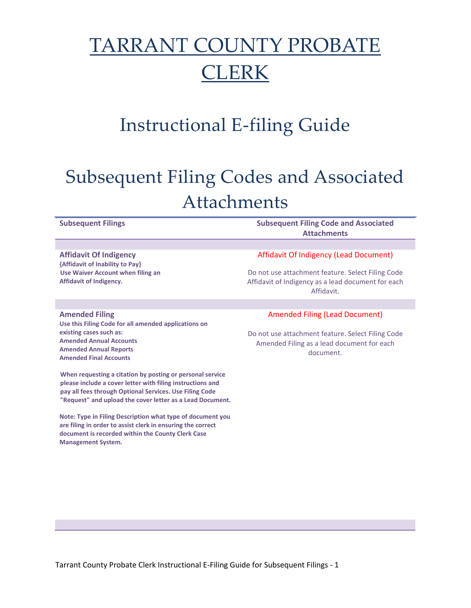# TARRANT COUNTY PROBATE LERK

## Instructional E-filing Guide

## Subsequent Filing Codes and Associated Attachments

**Subsequent Filings Subsequent Filing Code and Associated Attachments**

**Affidavit Of Indigency {Affidavit of Inability to Pay} Use Waiver Account when filing an Affidavit of Indigency.**

### Affidavit Of Indigency (Lead Document)

Do not use attachment feature. Select Filing Code Affidavit of Indigency as a lead document for each Affidavit.

#### **Amended Filing**

**Use this Filing Code for all amended applications on existing cases such as: Amended Annual Accounts Amended Annual Reports Amended Final Accounts**

**When requesting a citation by posting or personal service please include a cover letter with filing instructions and pay all fees through Optional Services. Use Filing Code "Request" and upload the cover letter as a Lead Document.** 

**Note: Type in Filing Description what type of document you are filing in order to assist clerk in ensuring the correct document is recorded within the County Clerk Case Management System.** 

## Amended Filing (Lead Document)

Do not use attachment feature. Select Filing Code Amended Filing as a lead document for each document.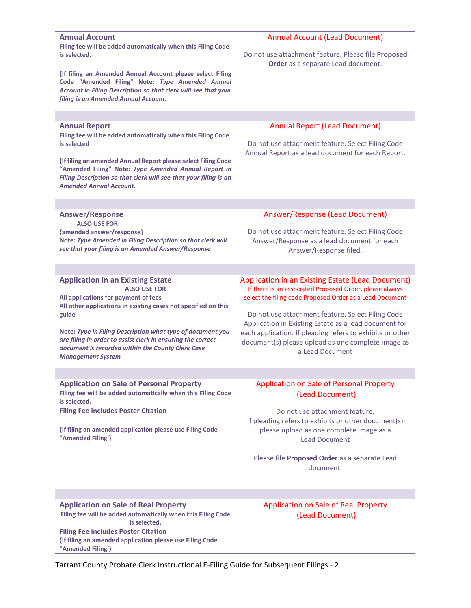| <b>Annual Account</b><br>Filing fee will be added automatically when this Filing Code<br>is selected.<br>{If filing an Amended Annual Account please select Filing<br>Code "Amended Filing" Note: Type Amended Annual<br>Account in Filing Description so that clerk will see that your<br>filing is an Amended Annual Account.                                                                  | <b>Annual Account (Lead Document)</b><br>Do not use attachment feature. Please file Proposed<br>Order as a separate Lead document.                                                                                                                                                                                                                                                                                           |
|--------------------------------------------------------------------------------------------------------------------------------------------------------------------------------------------------------------------------------------------------------------------------------------------------------------------------------------------------------------------------------------------------|------------------------------------------------------------------------------------------------------------------------------------------------------------------------------------------------------------------------------------------------------------------------------------------------------------------------------------------------------------------------------------------------------------------------------|
|                                                                                                                                                                                                                                                                                                                                                                                                  |                                                                                                                                                                                                                                                                                                                                                                                                                              |
| <b>Annual Report</b><br>Filing fee will be added automatically when this Filing Code<br>is selected<br>{If filing an amended Annual Report please select Filing Code<br>"Amended Filing" Note: Type Amended Annual Report in<br>Filing Description so that clerk will see that your filing is an<br><b>Amended Annual Account.</b>                                                               | <b>Annual Report (Lead Document)</b><br>Do not use attachment feature. Select Filing Code<br>Annual Report as a lead document for each Report.                                                                                                                                                                                                                                                                               |
|                                                                                                                                                                                                                                                                                                                                                                                                  |                                                                                                                                                                                                                                                                                                                                                                                                                              |
| <b>Answer/Response</b><br><b>ALSO USE FOR</b><br>{amended answer/response}<br>Note: Type Amended in Filing Description so that clerk will<br>see that your filing is an Amended Answer/Response                                                                                                                                                                                                  | Answer/Response (Lead Document)<br>Do not use attachment feature. Select Filing Code<br>Answer/Response as a lead document for each<br>Answer/Response filed.                                                                                                                                                                                                                                                                |
|                                                                                                                                                                                                                                                                                                                                                                                                  |                                                                                                                                                                                                                                                                                                                                                                                                                              |
| <b>Application in an Existing Estate</b><br><b>ALSO USE FOR</b><br>All applications for payment of fees<br>All other applications in existing cases not specified on this<br>guide<br>Note: Type in Filing Description what type of document you<br>are filing in order to assist clerk in ensuring the correct<br>document is recorded within the County Clerk Case<br><b>Management System</b> | Application in an Existing Estate (Lead Document)<br>If there is an associated Proposed Order, please always<br>select the filing code Proposed Order as a Lead Document<br>Do not use attachment feature. Select Filing Code<br>Application in Existing Estate as a lead document for<br>each application. If pleading refers to exhibits or other<br>document(s) please upload as one complete image as<br>a Lead Document |
|                                                                                                                                                                                                                                                                                                                                                                                                  |                                                                                                                                                                                                                                                                                                                                                                                                                              |
| <b>Application on Sale of Personal Property</b><br>Filing fee will be added automatically when this Filing Code<br>is selected.<br><b>Filing Fee includes Poster Citation</b><br>{If filing an amended application please use Filing Code<br>"Amended Filing'}                                                                                                                                   | <b>Application on Sale of Personal Property</b><br>(Lead Document)<br>Do not use attachment feature.<br>If pleading refers to exhibits or other document(s)<br>please upload as one complete image as a<br><b>Lead Document</b><br>Please file Proposed Order as a separate Lead<br>document.                                                                                                                                |
| <b>Application on Sale of Real Property</b>                                                                                                                                                                                                                                                                                                                                                      | <b>Application on Sale of Real Property</b>                                                                                                                                                                                                                                                                                                                                                                                  |

**Filing fee will be added automatically when this Filing Code is selected. Filing Fee includes Poster Citation {If filing an amended application please use Filing Code "Amended Filing'}**

(Lead Document)

Tarrant County Probate Clerk Instructional E-Filing Guide for Subsequent Filings - 2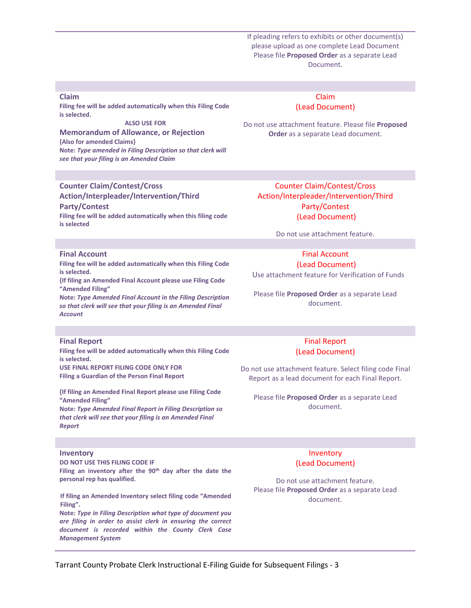If pleading refers to exhibits or other document(s) please upload as one complete Lead Document Please file **Proposed Order** as a separate Lead Document.

#### **Claim**

**Filing fee will be added automatically when this Filing Code is selected.**

**ALSO USE FOR**

**Memorandum of Allowance, or Rejection {Also for amended Claims} Note:** *Type amended in Filing Description so that clerk will see that your filing is an Amended Claim*

## **Counter Claim/Contest/Cross**

**Action/Interpleader/Intervention/Third Party/Contest Filing fee will be added automatically when this filing code is selected**

#### Claim (Lead Document)

Do not use attachment feature. Please file **Proposed Order** as a separate Lead document.

Counter Claim/Contest/Cross Action/Interpleader/Intervention/Third Party/Contest (Lead Document)

Do not use attachment feature.

Final Account (Lead Document) Use attachment feature for Verification of Funds

Please file **Proposed Order** as a separate Lead document.

#### **Final Account**

**Final Report**

**"Amended Filing"**

**is selected.**

**Filing fee will be added automatically when this Filing Code is selected.**

**{If filing an Amended Final Account please use Filing Code "Amended Filing"**

**Note:** *Type Amended Final Account in the Filing Description so that clerk will see that your filing is an Amended Final Account*

**Filing fee will be added automatically when this Filing Code** 

**{If filing an Amended Final Report please use Filing Code** 

**Note:** *Type Amended Final Report in Filing Description so that clerk will see that your filing is an Amended Final* 

**USE FINAL REPORT FILING CODE ONLY FOR Filing a Guardian of the Person Final Report**

## Final Report (Lead Document)

Do not use attachment feature. Select filing code Final Report as a lead document for each Final Report.

Please file **Proposed Order** as a separate Lead document.

#### **Inventory**

*Report*

**DO NOT USE THIS FILING CODE IF**

**Filing an inventory after the 90th day after the date the personal rep has qualified.**

**If filing an Amended Inventory select filing code "Amended Filing".** 

**Note:** *Type in Filing Description what type of document you are filing in order to assist clerk in ensuring the correct document is recorded within the County Clerk Case Management System*

## Inventory (Lead Document)

Do not use attachment feature. Please file **Proposed Order** as a separate Lead document.

Tarrant County Probate Clerk Instructional E-Filing Guide for Subsequent Filings - 3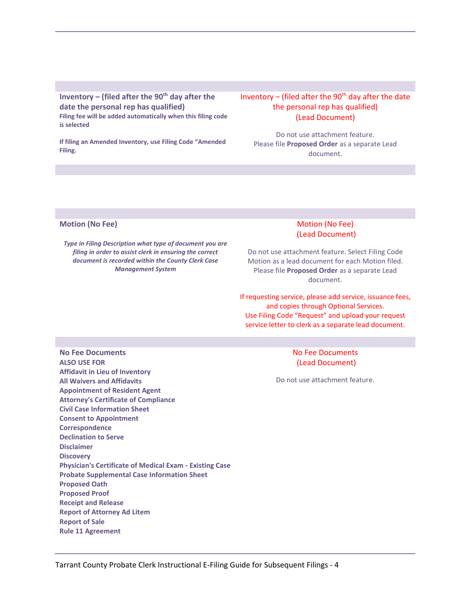**Inventory – (filed after the 90th day after the date the personal rep has qualified) Filing fee will be added automatically when this filing code is selected**

**If filing an Amended Inventory, use Filing Code "Amended Filing.**

## Inventory – (filed after the  $90<sup>th</sup>$  day after the date the personal rep has qualified) (Lead Document)

Do not use attachment feature. Please file **Proposed Order** as a separate Lead document.

**Motion (No Fee)**

**No Fee Documents**

*Type in Filing Description what type of document you are filing in order to assist clerk in ensuring the correct document is recorded within the County Clerk Case Management System*

## Motion (No Fee) (Lead Document)

Do not use attachment feature. Select Filing Code Motion as a lead document for each Motion filed. Please file **Proposed Order** as a separate Lead document.

If requesting service, please add service, issuance fees, and copies through Optional Services. Use Filing Code "Request" and upload your request service letter to clerk as a separate lead document.

> No Fee Documents (Lead Document)

Do not use attachment feature.

**ALSO USE FOR Affidavit in Lieu of Inventory All Waivers and Affidavits Appointment of Resident Agent Attorney's Certificate of Compliance Civil Case Information Sheet Consent to Appointment Correspondence Declination to Serve Disclaimer Discovery Physician's Certificate of Medical Exam - Existing Case Probate Supplemental Case Information Sheet Proposed Oath Proposed Proof Receipt and Release Report of Attorney Ad Litem Report of Sale Rule 11 Agreement**

Tarrant County Probate Clerk Instructional E-Filing Guide for Subsequent Filings - 4